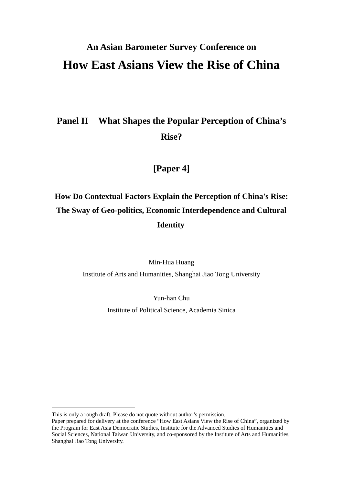# **An Asian Barometer Survey Conference on How East Asians View the Rise of China**

## **Panel II What Shapes the Popular Perception of China's Rise?**

### **[Paper 4]**

## **How Do Contextual Factors Explain the Perception of China's Rise: The Sway of Geo-politics, Economic Interdependence and Cultural Identity**

Min-Hua Huang

Institute of Arts and Humanities, Shanghai Jiao Tong University

Yun-han Chu

Institute of Political Science, Academia Sinica

This is only a rough draft. Please do not quote without author's permission.

Paper prepared for delivery at the conference "How East Asians View the Rise of China", organized by the Program for East Asia Democratic Studies, Institute for the Advanced Studies of Humanities and Social Sciences, National Taiwan University, and co-sponsored by the Institute of Arts and Humanities, Shanghai Jiao Tong University.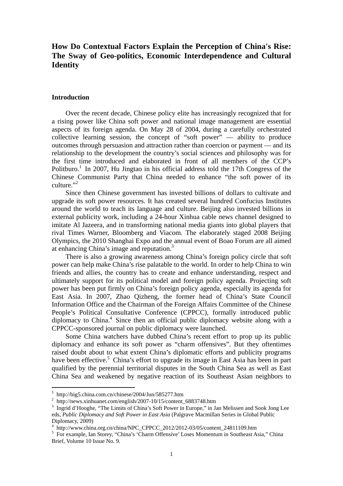### **How Do Contextual Factors Explain the Perception of China's Rise: The Sway of Geo-politics, Economic Interdependence and Cultural Identity**

#### **Introduction**

Over the recent decade, Chinese policy elite has increasingly recognized that for a rising power like China soft power and national image management are essential aspects of its foreign agenda. On May 28 of 2004, during a carefully orchestrated collective learning session, the concept of "soft power"  $-$  ability to produce outcomes through persuasion and attraction rather than coercion or payment — and its relationship to the development the country's social sciences and philosophy was for the first time introduced and elaborated in front of all members of the CCP's Politburo.<sup>1</sup> In 2007, Hu Jingtao in his official address told the 17th Congress of the Chinese Communist Party that China needed to enhance "the soft power of its culture." $^{3}$ 

Since then Chinese government has invested billions of dollars to cultivate and upgrade its soft power resources. It has created several hundred Confucius Institutes around the world to teach its language and culture. Beijing also invested billions in external publicity work, including a 24-hour Xinhua cable news channel designed to imitate Al Jazeera, and in transforming national media giants into global players that rival Times Warner, Bloomberg and Viacom. The elaborately staged 2008 Beijing Olympics, the 2010 Shanghai Expo and the annual event of Boao Forum are all aimed at enhancing China's image and reputation.3

There is also a growing awareness among China's foreign policy circle that soft power can help make China's rise palatable to the world. In order to help China to win friends and allies, the country has to create and enhance understanding, respect and ultimately support for its political model and foreign policy agenda. Projecting soft power has been put firmly on China's foreign policy agenda, especially its agenda for East Asia. In 2007, Zhao Qizheng, the former head of China's State Council Information Office and the Chairman of the Foreign Affairs Committee of the Chinese People's Political Consultative Conference (CPPCC), formally introduced public diplomacy to China.<sup>4</sup> Since then an official public diplomacy website along with a CPPCC-sponsored journal on public diplomacy were launched.

Some China watchers have dubbed China's recent effort to prop up its public diplomacy and enhance its soft power as "charm offensives". But they oftentimes raised doubt about to what extent China's diplomatic efforts and publicity programs have been effective.<sup>5</sup> China's effort to upgrade its image in East Asia has been in part qualified by the perennial territorial disputes in the South China Sea as well as East China Sea and weakened by negative reaction of its Southeast Asian neighbors to

<sup>&</sup>lt;sup>1</sup> http://big5.china.com.cn/chinese/2004/Jun/585277.htm

<sup>&</sup>lt;sup>2</sup> http://news.xinhuanet.com/english/2007-10/15/content\_6883748.htm

<sup>&</sup>lt;sup>3</sup> Ingrid d'Hooghe, "The Limits of China's Soft Power in Europe," in Jan Melissen and Sook Jong Lee eds, *Public Diplomacy and Soft Power in East Asia* (Palgrave Macmillan Series in Global Public Diplomacy, 2009)

<sup>4</sup> http://www.china.org.cn/china/NPC\_CPPCC\_2012/2012-03/05/content\_24811109.htm

<sup>&</sup>lt;sup>5</sup> For example, Ian Storey, "China's 'Charm Offensive' Loses Momentum in Southeast Asia," China Brief, Volume 10 Issue No. 9.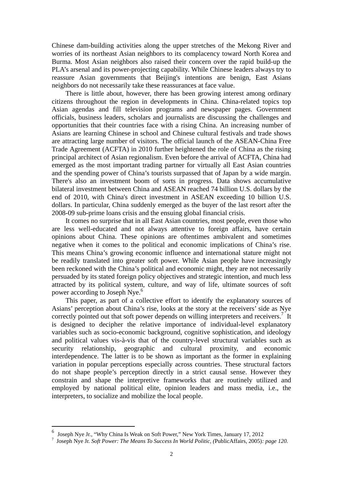Chinese dam-building activities along the upper stretches of the Mekong River and worries of its northeast Asian neighbors to its complacency toward North Korea and Burma. Most Asian neighbors also raised their concern over the rapid build-up the PLA's arsenal and its power-projecting capability. While Chinese leaders always try to reassure Asian governments that Beijing's intentions are benign, East Asians neighbors do not necessarily take these reassurances at face value.

There is little about, however, there has been growing interest among ordinary citizens throughout the region in developments in China. China-related topics top Asian agendas and fill television programs and newspaper pages. Government officials, business leaders, scholars and journalists are discussing the challenges and opportunities that their countries face with a rising China. An increasing number of Asians are learning Chinese in school and Chinese cultural festivals and trade shows are attracting large number of visitors. The official launch of the ASEAN-China Free Trade Agreement (ACFTA) in 2010 further heightened the role of China as the rising principal architect of Asian regionalism. Even before the arrival of ACFTA, China had emerged as the most important trading partner for virtually all East Asian countries and the spending power of China's tourists surpassed that of Japan by a wide margin. There's also an investment boom of sorts in progress. Data shows accumulative bilateral investment between China and ASEAN reached 74 billion U.S. dollars by the end of 2010, with China's direct investment in ASEAN exceeding 10 billion U.S. dollars. In particular, China suddenly emerged as the buyer of the last resort after the 2008-09 sub-prime loans crisis and the ensuing global financial crisis.

It comes no surprise that in all East Asian countries, most people, even those who are less well-educated and not always attentive to foreign affairs, have certain opinions about China. These opinions are oftentimes ambivalent and sometimes negative when it comes to the political and economic implications of China's rise. This means China's growing economic influence and international stature might not be readily translated into greater soft power. While Asian people have increasingly been reckoned with the China's political and economic might, they are not necessarily persuaded by its stated foreign policy objectives and strategic intention, and much less attracted by its political system, culture, and way of life, ultimate sources of soft power according to Joseph Nye.<sup>6</sup>

This paper, as part of a collective effort to identify the explanatory sources of Asians' perception about China's rise, looks at the story at the receivers' side as Nye correctly pointed out that soft power depends on willing interpreters and receivers.<sup>7</sup> It is designed to decipher the relative importance of individual-level explanatory variables such as socio-economic background, cognitive sophistication, and ideology and political values vis-à-vis that of the country-level structural variables such as security relationship, geographic and cultural proximity, and economic interdependence. The latter is to be shown as important as the former in explaining variation in popular perceptions especially across countries. These structural factors do not shape people's perception directly in a strict causal sense. However they constrain and shape the interpretive frameworks that are routinely utilized and employed by national political elite, opinion leaders and mass media, i.e., the interpreters, to socialize and mobilize the local people.

<sup>6</sup> Joseph Nye Jr., "Why China Is Weak on Soft Power," New York Times, January 17, 2012

<sup>7</sup> Joseph Nye Jr. *Soft Power: The Means To Success In World Politic, (*PublicAffairs, 2005)*: page 120.*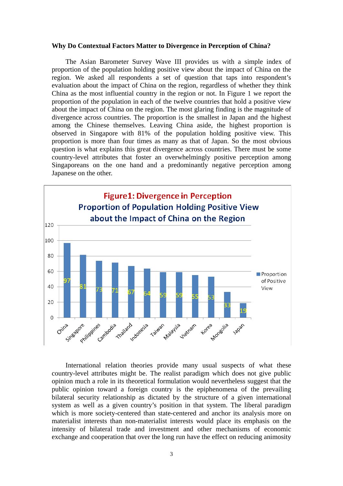#### **Why Do Contextual Factors Matter to Divergence in Perception of China?**

The Asian Barometer Survey Wave III provides us with a simple index of proportion of the population holding positive view about the impact of China on the region. We asked all respondents a set of question that taps into respondent's evaluation about the impact of China on the region, regardless of whether they think China as the most influential country in the region or not. In Figure 1 we report the proportion of the population in each of the twelve countries that hold a positive view about the impact of China on the region. The most glaring finding is the magnitude of divergence across countries. The proportion is the smallest in Japan and the highest among the Chinese themselves. Leaving China aside, the highest proportion is observed in Singapore with 81% of the population holding positive view. This proportion is more than four times as many as that of Japan. So the most obvious question is what explains this great divergence across countries. There must be some country-level attributes that foster an overwhelmingly positive perception among Singaporeans on the one hand and a predominantly negative perception among Japanese on the other.



International relation theories provide many usual suspects of what these country-level attributes might be. The realist paradigm which does not give public opinion much a role in its theoretical formulation would nevertheless suggest that the public opinion toward a foreign country is the epiphenomena of the prevailing bilateral security relationship as dictated by the structure of a given international system as well as a given country's position in that system. The liberal paradigm which is more society-centered than state-centered and anchor its analysis more on materialist interests than non-materialist interests would place its emphasis on the intensity of bilateral trade and investment and other mechanisms of economic exchange and cooperation that over the long run have the effect on reducing animosity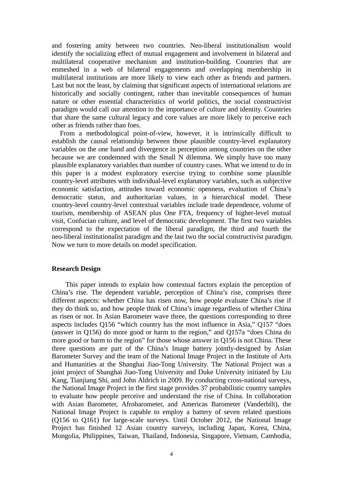and fostering amity between two countries. Neo-liberal institutionalism would identify the socializing effect of mutual engagement and involvement in bilateral and multilateral cooperative mechanism and institution-building. Countries that are enmeshed in a web of bilateral engagements and overlapping membership in multilateral institutions are more likely to view each other as friends and partners. Last but not the least, by claiming that significant aspects of international relations are historically and socially contingent, rather than inevitable consequences of human nature or other essential characteristics of world politics, the social constructivist paradigm would call our attention to the importance of culture and identity. Countries that share the same cultural legacy and core values are more likely to perceive each other as friends rather than foes.

From a methodological point-of-view, however, it is intrinsically difficult to establish the causal relationship between those plausible country-level explanatory variables on the one hand and divergence in perception among countries on the other because we are condemned with the Small N dilemma. We simply have too many plausible explanatory variables than number of country cases. What we intend to do in this paper is a modest exploratory exercise trying to combine some plausible country-level attributes with individual-level explanatory variables, such as subjective economic satisfaction, attitudes toward economic openness, evaluation of China's democratic status, and authoritarian values, in a hierarchical model. These country-level country-level contextual variables include trade dependence, volume of tourism, membership of ASEAN plus One FTA, frequency of higher-level mutual visit, Confucian culture, and level of democratic development. The first two variables correspond to the expectation of the liberal paradigm, the third and fourth the neo-liberal institutionalist paradigm and the last two the social constructivist paradigm. Now we turn to more details on model specification.

#### **Research Design**

This paper intends to explain how contextual factors explain the perception of China's rise. The dependent variable, perception of China's rise, comprises three different aspects: whether China has risen now, how people evaluate China's rise if they do think so, and how people think of China's image regardless of whether China as risen or not. In Asian Barometer wave three, the questions corresponding to three aspects includes Q156 "which country has the most influence in Asia," Q157 "does (answer in Q156) do more good or harm to the region," and Q157a "does China do more good or harm to the region" for those whose answer in Q156 is not China. These three questions are part of the China's Image battery jointly-designed by Asian Barometer Survey and the team of the National Image Project in the Institute of Arts and Humanities at the Shanghai Jiao-Tong University. The National Project was a joint project of Shanghai Jiao-Tong University and Duke University initiated by Liu Kang, Tianjiang Shi, and John Aldrich in 2009. By conducting cross-national surveys, the National Image Project in the first stage provides 37 probabilistic country samples to evaluate how people perceive and understand the rise of China. In collaboration with Asian Barometer, Afrobarometer, and Americas Barometer (Vanderbilt), the National Image Project is capable to employ a battery of seven related questions (Q156 to Q161) for large-scale surveys. Until October 2012, the National Image Project has finished 12 Asian country surveys, including Japan, Korea, China, Mongolia, Philippines, Taiwan, Thailand, Indonesia, Singapore, Vietnam, Cambodia,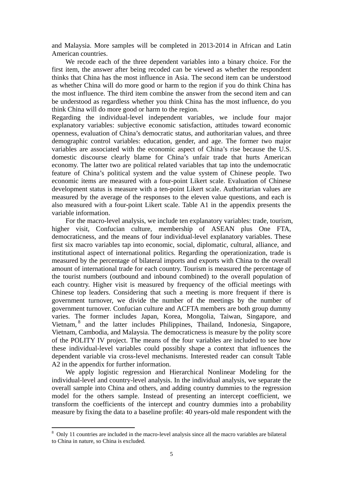and Malaysia. More samples will be completed in 2013-2014 in African and Latin American countries.

We recode each of the three dependent variables into a binary choice. For the first item, the answer after being recoded can be viewed as whether the respondent thinks that China has the most influence in Asia. The second item can be understood as whether China will do more good or harm to the region if you do think China has the most influence. The third item combine the answer from the second item and can be understood as regardless whether you think China has the most influence, do you think China will do more good or harm to the region.

Regarding the individual-level independent variables, we include four major explanatory variables: subjective economic satisfaction, attitudes toward economic openness, evaluation of China's democratic status, and authoritarian values, and three demographic control variables: education, gender, and age. The former two major variables are associated with the economic aspect of China's rise because the U.S. domestic discourse clearly blame for China's unfair trade that hurts American economy. The latter two are political related variables that tap into the undemocratic feature of China's political system and the value system of Chinese people. Two economic items are measured with a four-point Likert scale. Evaluation of Chinese development status is measure with a ten-point Likert scale. Authoritarian values are measured by the average of the responses to the eleven value questions, and each is also measured with a four-point Likert scale. Table A1 in the appendix presents the variable information.

For the macro-level analysis, we include ten explanatory variables: trade, tourism, higher visit, Confucian culture, membership of ASEAN plus One FTA, democraticness, and the means of four individual-level explanatory variables. These first six macro variables tap into economic, social, diplomatic, cultural, alliance, and institutional aspect of international politics. Regarding the operationization, trade is measured by the percentage of bilateral imports and exports with China to the overall amount of international trade for each country. Tourism is measured the percentage of the tourist numbers (outbound and inbound combined) to the overall population of each country. Higher visit is measured by frequency of the official meetings with Chinese top leaders. Considering that such a meeting is more frequent if there is government turnover, we divide the number of the meetings by the number of government turnover. Confucian culture and ACFTA members are both group dummy varies. The former includes Japan, Korea, Mongolia, Taiwan, Singapore, and Vietnam,<sup>8</sup> and the latter includes Philippines, Thailand, Indonesia, Singapore, Vietnam, Cambodia, and Malaysia. The democraticness is measure by the polity score of the POLITY IV project. The means of the four variables are included to see how these individual-level variables could possibly shape a context that influences the dependent variable via cross-level mechanisms. Interested reader can consult Table A<sub>2</sub> in the appendix for further information.

We apply logistic regression and Hierarchical Nonlinear Modeling for the individual-level and country-level analysis. In the individual analysis, we separate the overall sample into China and others, and adding country dummies to the regression model for the others sample. Instead of presenting an intercept coefficient, we transform the coefficients of the intercept and country dummies into a probability measure by fixing the data to a baseline profile: 40 years-old male respondent with the

<sup>&</sup>lt;sup>8</sup> Only 11 countries are included in the macro-level analysis since all the macro variables are bilateral to China in nature, so China is excluded.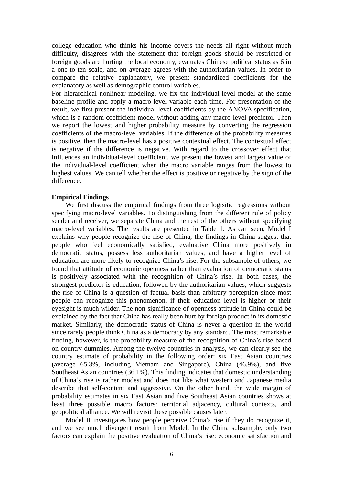college education who thinks his income covers the needs all right without much difficulty, disagrees with the statement that foreign goods should be restricted or foreign goods are hurting the local economy, evaluates Chinese political status as 6 in a one-to-ten scale, and on average agrees with the authoritarian values. In order to compare the relative explanatory, we present standardized coefficients for the explanatory as well as demographic control variables.

For hierarchical nonlinear modeling, we fix the individual-level model at the same baseline profile and apply a macro-level variable each time. For presentation of the result, we first present the individual-level coefficients by the ANOVA specification, which is a random coefficient model without adding any macro-level predictor. Then we report the lowest and higher probability measure by converting the regression coefficients of the macro-level variables. If the difference of the probability measures is positive, then the macro-level has a positive contextual effect. The contextual effect is negative if the difference is negative. With regard to the crossover effect that influences an individual-level coefficient, we present the lowest and largest value of the individual-level coefficient when the macro variable ranges from the lowest to highest values. We can tell whether the effect is positive or negative by the sign of the difference.

#### **Empirical Findings**

We first discuss the empirical findings from three logisitic regressions without specifying macro-level variables. To distinguishing from the different rule of policy sender and receiver, we separate China and the rest of the others without specifying macro-level variables. The results are presented in Table 1. As can seen, Model I explains why people recognize the rise of China, the findings in China suggest that people who feel economically satisfied, evaluative China more positively in democratic status, possess less authoritarian values, and have a higher level of education are more likely to recognize China's rise. For the subsample of others, we found that attitude of economic openness rather than evaluation of democratic status is positively associated with the recognition of China's rise. In both cases, the strongest predictor is education, followed by the authoritarian values, which suggests the rise of China is a question of factual basis than arbitrary perception since most people can recognize this phenomenon, if their education level is higher or their eyesight is much wilder. The non-significance of openness attitude in China could be explained by the fact that China has really been hurt by foreign product in its domestic market. Similarly, the democratic status of China is never a question in the world since rarely people think China as a democracy by any standard. The most remarkable finding, however, is the probability measure of the recognition of China's rise based on country dummies. Among the twelve countries in analysis, we can clearly see the country estimate of probability in the following order: six East Asian countries (average 65.3%, including Vietnam and Singapore), China (46.9%), and five Southeast Asian countries (36.1%). This finding indicates that domestic understanding of China's rise is rather modest and does not like what western and Japanese media describe that self-content and aggressive. On the other hand, the wide margin of probability estimates in six East Asian and five Southeast Asian countries shows at least three possible macro factors: territorial adjacency, cultural contexts, and geopolitical alliance. We will revisit these possible causes later.

Model II investigates how people perceive China's rise if they do recognize it, and we see much divergent result from Model. In the China subsample, only two factors can explain the positive evaluation of China's rise: economic satisfaction and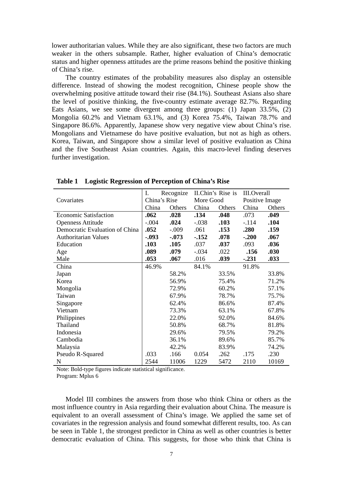lower authoritarian values. While they are also significant, these two factors are much weaker in the others subsample. Rather, higher evaluation of China's democratic status and higher openness attitudes are the prime reasons behind the positive thinking of China's rise.

The country estimates of the probability measures also display an ostensible difference. Instead of showing the modest recognition, Chinese people show the overwhelming positive attitude toward their rise (84.1%). Southeast Asians also share the level of positive thinking, the five-country estimate average 82.7%. Regarding Eats Asians, we see some divergent among three groups: (1) Japan 33.5%, (2) Mongolia 60.2% and Vietnam 63.1%, and (3) Korea 75.4%, Taiwan 78.7% and Singapore 86.6%. Apparently, Japanese show very negative view about China's rise. Mongolians and Vietnamese do have positive evaluation, but not as high as others. Korea, Taiwan, and Singapore show a similar level of positive evaluation as China and the five Southeast Asian countries. Again, this macro-level finding deserves further investigation.

|                                | Ι.<br>Recognize |          | II.Chin's Rise is |        | <b>III.Overall</b> |        |
|--------------------------------|-----------------|----------|-------------------|--------|--------------------|--------|
| Covariates                     | China's Rise    |          | More Good         |        | Positive Image     |        |
|                                | China           | Others   | China             | Others | China              | Others |
| <b>Economic Satisfaction</b>   | .062            | .028     | .134              | .048   | .073               | .049   |
| <b>Openness Attitude</b>       | $-.004$         | .024     | $-.038$           | .103   | $-.114$            | .104   |
| Democratic Evaluation of China | .052            | $-.009$  | .061              | .153   | .280               | .159   |
| <b>Authoritarian Values</b>    | $-.093$         | $-0.073$ | $-152$            | .078   | $-.200$            | .067   |
| Education                      | .103            | .105     | .037              | .037   | .093               | .036   |
| Age                            | .089            | .079     | $-.034$           | .022   | .156               | .030   |
| Male                           | .053            | .067     | .016              | .039   | $-.231$            | .033   |
| China                          | 46.9%           |          | 84.1%             |        | 91.8%              |        |
| Japan                          |                 | 58.2%    |                   | 33.5%  |                    | 33.8%  |
| Korea                          |                 | 56.9%    |                   | 75.4%  |                    | 71.2%  |
| Mongolia                       |                 | 72.9%    |                   | 60.2%  |                    | 57.1%  |
| Taiwan                         |                 | 67.9%    |                   | 78.7%  |                    | 75.7%  |
| Singapore                      |                 | 62.4%    |                   | 86.6%  |                    | 87.4%  |
| Vietnam                        |                 | 73.3%    |                   | 63.1%  |                    | 67.8%  |
| Philippines                    |                 | 22.0%    |                   | 92.0%  |                    | 84.6%  |
| Thailand                       |                 | 50.8%    |                   | 68.7%  |                    | 81.8%  |
| Indonesia                      |                 | 29.6%    |                   | 79.5%  |                    | 79.2%  |
| Cambodia                       |                 | 36.1%    |                   | 89.6%  |                    | 85.7%  |
| Malaysia                       |                 | 42.2%    |                   | 83.9%  |                    | 74.2%  |
| Pseudo R-Squared               | .033            | .166     | 0.054             | .262   | .175               | .230   |
| N                              | 2544            | 11006    | 1229              | 5472   | 2110               | 10169  |

**Table 1 Logistic Regression of Perception of China's Rise**

Note: Bold-type figures indicate statistical significance.

Program: Mplus 6

Model III combines the answers from those who think China or others as the most influence country in Asia regarding their evaluation about China. The measure is equivalent to an overall assessment of China's image. We applied the same set of covariates in the regression analysis and found somewhat different results, too. As can be seen in Table 1, the strongest predictor in China as well as other countries is better democratic evaluation of China. This suggests, for those who think that China is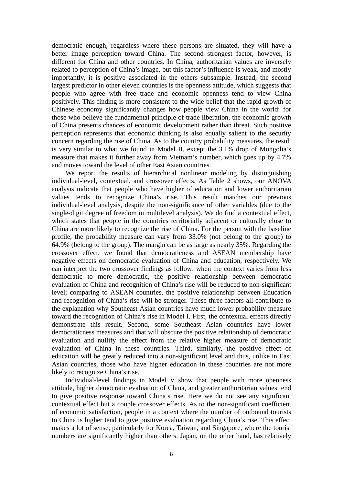democratic enough, regardless where these persons are situated, they will have a better image perception toward China. The second strongest factor, however, is different for China and other countries. In China, authoritarian values are inversely related to perception of China's image, but this factor's influence is weak, and mostly importantly, it is positive associated in the others subsample. Instead, the second largest predictor in other eleven countries is the openness attitude, which suggests that people who agree with free trade and economic openness tend to view China positively. This finding is more consistent to the wide belief that the rapid growth of Chinese economy significantly changes how people view China in the world: for those who believe the fundamental principle of trade liberation, the economic growth of China presents chances of economic development rather than threat. Such positive perception represents that economic thinking is also equally salient to the security concern regarding the rise of China. As to the country probability measures, the result is very similar to what we found in Model II, except the 3.1% drop of Mongolia's measure that makes it further away from Vietnam's number, which goes up by 4.7% and moves toward the level of other East Asian countries.

We report the results of hierarchical nonlinear modeling by distinguishing individual-level, contextual, and crossover effects. As Table 2 shows, our ANOVA analysis indicate that people who have higher of education and lower authoritarian values tends to recognize China's rise. This result matches our previous individual-level analysis, despite the non-significance of other variables (due to the single-digit degree of freedom in multilevel analysis). We do find a contextual effect, which states that people in the countries territorially adjacent or culturally close to China are more likely to recognize the rise of China. For the person with the baseline profile, the probability measure can vary from 33.0% (not belong to the group) to 64.9% (belong to the group). The margin can be as large as nearly 35%. Regarding the crossover effect, we found that democraticness and ASEAN membership have negative effects on democratic evaluation of China and education, respectively. We can interpret the two crossover findings as follow: when the context varies from less democratic to more democratic, the positive relationship between democratic evaluation of China and recognition of China's rise will be reduced to non-significant level; comparing to ASEAN countries, the positive relationship between Education and recognition of China's rise will be stronger. These three factors all contribute to the explanation why Southeast Asian countries have much lower probability measure toward the recognition of China's rise in Model I. First, the contextual effects directly demonstrate this result. Second, some Southeast Asian countries have lower democraticness measures and that will obscure the positive relationship of democratic evaluation and nullify the effect from the relative higher measure of democratic evaluation of China in these countries. Third, similarly, the positive effect of education will be greatly reduced into a non-significant level and thus, unlike in East Asian countries, those who have higher education in these countries are not more likely to recognize China's rise.

Individual-level findings in Model V show that people with more openness attitude, higher democratic evaluation of China, and greater authoritarian values tend to give positive response toward China's rise. Here we do not see any significant contextual effect but a couple crossover effects. As to the non-significant coefficient of economic satisfaction, people in a context where the number of outbound tourists to China is higher tend to give positive evaluation regarding China's rise. This effect makes a lot of sense, particularly for Korea, Taiwan, and Singapore, where the tourist numbers are significantly higher than others. Japan, on the other hand, has relatively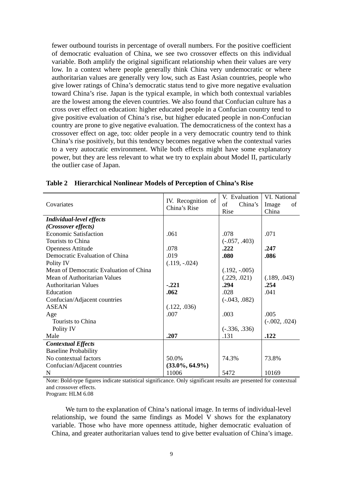fewer outbound tourists in percentage of overall numbers. For the positive coefficient of democratic evaluation of China, we see two crossover effects on this individual variable. Both amplify the original significant relationship when their values are very low. In a context where people generally think China very undemocratic or where authoritarian values are generally very low, such as East Asian countries, people who give lower ratings of China's democratic status tend to give more negative evaluation toward China's rise. Japan is the typical example, in which both contextual variables are the lowest among the eleven countries. We also found that Confucian culture has a cross over effect on education: higher educated people in a Confucian country tend to give positive evaluation of China's rise, but higher educated people in non-Confucian country are prone to give negative evaluation. The democraticness of the context has a crossover effect on age, too: older people in a very democratic country tend to think China's rise positively, but this tendency becomes negative when the contextual varies to a very autocratic environment. While both effects might have some explanatory power, but they are less relevant to what we try to explain about Model II, particularly the outlier case of Japan.

| Covariates                             | IV. Recognition of<br>China's Rise | V. Evaluation<br>China's<br>of<br>Rise | VI. National<br>Image<br>of<br>China |
|----------------------------------------|------------------------------------|----------------------------------------|--------------------------------------|
| <b>Individual-level effects</b>        |                                    |                                        |                                      |
| (Crossover effects)                    |                                    |                                        |                                      |
| <b>Economic Satisfaction</b>           | .061                               | .078                                   | .071                                 |
| Tourists to China                      |                                    | $(-.057, .403)$                        |                                      |
| <b>Openness Attitude</b>               | .078                               | .222                                   | .247                                 |
| Democratic Evaluation of China         | .019                               | .080                                   | .086                                 |
| Polity IV                              | $(.119, -.024)$                    |                                        |                                      |
| Mean of Democratic Evaluation of China |                                    | $(.192, -.005)$                        |                                      |
| Mean of Authoritarian Values           |                                    | (.229, .021)                           | (.189, .043)                         |
| <b>Authoritarian Values</b>            | $-.221$                            | .294                                   | .254                                 |
| Education                              | .062                               | .028                                   | .041                                 |
| Confucian/Adjacent countries           |                                    | $(-.043, .082)$                        |                                      |
| <b>ASEAN</b>                           | (.122, .036)                       |                                        |                                      |
| Age                                    | .007                               | .003                                   | .005                                 |
| Tourists to China                      |                                    |                                        | $(-.002, .024)$                      |
| Polity IV                              |                                    | $(-.336, .336)$                        |                                      |
| Male                                   | .207                               | .131                                   | .122                                 |
| <b>Contextual Effects</b>              |                                    |                                        |                                      |
| <b>Baseline Probability</b>            |                                    |                                        |                                      |
| No contextual factors                  | 50.0%                              | 74.3%                                  | 73.8%                                |
| Confucian/Adjacent countries           | $(33.0\%, 64.9\%)$                 |                                        |                                      |
| N                                      | 11006                              | 5472                                   | 10169                                |

**Table 2 Hierarchical Nonlinear Models of Perception of China's Rise** 

Note: Bold-type figures indicate statistical significance. Only significant results are presented for contextual and crossover effects.

Program: HLM 6.08

We turn to the explanation of China's national image. In terms of individual-level relationship, we found the same findings as Model V shows for the explanatory variable. Those who have more openness attitude, higher democratic evaluation of China, and greater authoritarian values tend to give better evaluation of China's image.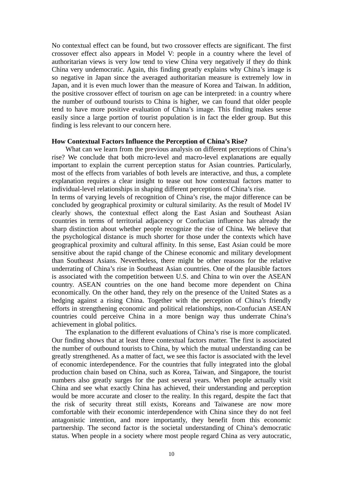No contextual effect can be found, but two crossover effects are significant. The first crossover effect also appears in Model V: people in a country where the level of authoritarian views is very low tend to view China very negatively if they do think China very undemocratic. Again, this finding greatly explains why China's image is so negative in Japan since the averaged authoritarian measure is extremely low in Japan, and it is even much lower than the measure of Korea and Taiwan. In addition, the positive crossover effect of tourism on age can be interpreted: in a country where the number of outbound tourists to China is higher, we can found that older people tend to have more positive evaluation of China's image. This finding makes sense easily since a large portion of tourist population is in fact the elder group. But this finding is less relevant to our concern here.

#### **How Contextual Factors Influence the Perception of China's Rise?**

What can we learn from the previous analysis on different perceptions of China's rise? We conclude that both micro-level and macro-level explanations are equally important to explain the current perception status for Asian countries. Particularly, most of the effects from variables of both levels are interactive, and thus, a complete explanation requires a clear insight to tease out how contextual factors matter to individual-level relationships in shaping different perceptions of China's rise.

In terms of varying levels of recognition of China's rise, the major difference can be concluded by geographical proximity or cultural similarity. As the result of Model IV clearly shows, the contextual effect along the East Asian and Southeast Asian countries in terms of territorial adjacency or Confucian influence has already the sharp distinction about whether people recognize the rise of China. We believe that the psychological distance is much shorter for those under the contexts which have geographical proximity and cultural affinity. In this sense, East Asian could be more sensitive about the rapid change of the Chinese economic and military development than Southeast Asians. Nevertheless, there might be other reasons for the relative underrating of China's rise in Southeast Asian countries. One of the plausible factors is associated with the competition between U.S. and China to win over the ASEAN country. ASEAN countries on the one hand become more dependent on China economically. On the other hand, they rely on the presence of the United States as a hedging against a rising China. Together with the perception of China's friendly efforts in strengthening economic and political relationships, non-Confucian ASEAN countries could perceive China in a more benign way thus underrate China's achievement in global politics.

The explanation to the different evaluations of China's rise is more complicated. Our finding shows that at least three contextual factors matter. The first is associated the number of outbound tourists to China, by which the mutual understanding can be greatly strengthened. As a matter of fact, we see this factor is associated with the level of economic interdependence. For the countries that fully integrated into the global production chain based on China, such as Korea, Taiwan, and Singapore, the tourist numbers also greatly surges for the past several years. When people actually visit China and see what exactly China has achieved, their understanding and perception would be more accurate and closer to the reality. In this regard, despite the fact that the risk of security threat still exists, Koreans and Taiwanese are now more comfortable with their economic interdependence with China since they do not feel antagonistic intention, and more importantly, they benefit from this economic partnership. The second factor is the societal understanding of China's democratic status. When people in a society where most people regard China as very autocratic,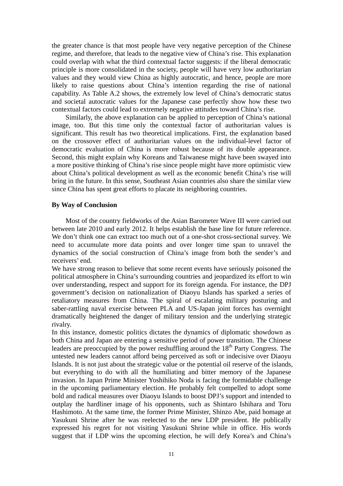the greater chance is that most people have very negative perception of the Chinese regime, and therefore, that leads to the negative view of China's rise. This explanation could overlap with what the third contextual factor suggests: if the liberal democratic principle is more consolidated in the society, people will have very low authoritarian values and they would view China as highly autocratic, and hence, people are more likely to raise questions about China's intention regarding the rise of national capability. As Table A.2 shows, the extremely low level of China's democratic status and societal autocratic values for the Japanese case perfectly show how these two contextual factors could lead to extremely negative attitudes toward China's rise.

Similarly, the above explanation can be applied to perception of China's national image, too. But this time only the contextual factor of authoritarian values is significant. This result has two theoretical implications. First, the explanation based on the crossover effect of authoritarian values on the individual-level factor of democratic evaluation of China is more robust because of its double appearance. Second, this might explain why Koreans and Taiwanese might have been swayed into a more positive thinking of China's rise since people might have more optimistic view about China's political development as well as the economic benefit China's rise will bring in the future. In this sense, Southeast Asian countries also share the similar view since China has spent great efforts to placate its neighboring countries.

#### **By Way of Conclusion**

Most of the country fieldworks of the Asian Barometer Wave III were carried out between late 2010 and early 2012. It helps establish the base line for future reference. We don't think one can extract too much out of a one-shot cross-sectional survey. We need to accumulate more data points and over longer time span to unravel the dynamics of the social construction of China's image from both the sender's and receivers' end.

We have strong reason to believe that some recent events have seriously poisoned the political atmosphere in China's surrounding countries and jeopardized its effort to win over understanding, respect and support for its foreign agenda. For instance, the DPJ government's decision on nationalization of Diaoyu Islands has sparked a series of retaliatory measures from China. The spiral of escalating military posturing and saber-rattling naval exercise between PLA and US-Japan joint forces has overnight dramatically heightened the danger of military tension and the underlying strategic rivalry.

In this instance, domestic politics dictates the dynamics of diplomatic showdown as both China and Japan are entering a sensitive period of power transition. The Chinese leaders are preoccupied by the power reshuffling around the  $18<sup>th</sup>$  Party Congress. The untested new leaders cannot afford being perceived as soft or indecisive over Diaoyu Islands. It is not just about the strategic value or the potential oil reserve of the islands, but everything to do with all the humiliating and bitter memory of the Japanese invasion. In Japan Prime Minister Yoshihiko Noda is facing the formidable challenge in the upcoming parliamentary election. He probably felt compelled to adopt some bold and radical measures over Diaoyu Islands to boost DPJ's support and intended to outplay the hardliner image of his opponents, such as Shintaro Ishihara and Toru Hashimoto. At the same time, the former Prime Minister, Shinzo Abe, paid homage at Yasukuni Shrine after he was reelected to the new LDP president. He publically expressed his regret for not visiting Yasukuni Shrine while in office. His words suggest that if LDP wins the upcoming election, he will defy Korea's and China's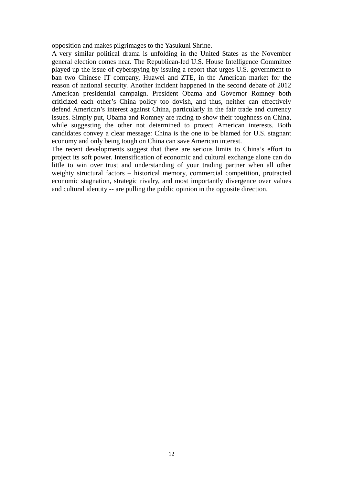opposition and makes pilgrimages to the Yasukuni Shrine.

A very similar political drama is unfolding in the United States as the November general election comes near. The Republican-led U.S. House Intelligence Committee played up the issue of cyberspying by issuing a report that urges U.S. government to ban two Chinese IT company, Huawei and ZTE, in the American market for the reason of national security. Another incident happened in the second debate of 2012 American presidential campaign. President Obama and Governor Romney both criticized each other's China policy too dovish, and thus, neither can effectively defend American's interest against China, particularly in the fair trade and currency issues. Simply put, Obama and Romney are racing to show their toughness on China, while suggesting the other not determined to protect American interests. Both candidates convey a clear message: China is the one to be blamed for U.S. stagnant economy and only being tough on China can save American interest.

The recent developments suggest that there are serious limits to China's effort to project its soft power. Intensification of economic and cultural exchange alone can do little to win over trust and understanding of your trading partner when all other weighty structural factors – historical memory, commercial competition, protracted economic stagnation, strategic rivalry, and most importantly divergence over values and cultural identity -- are pulling the public opinion in the opposite direction.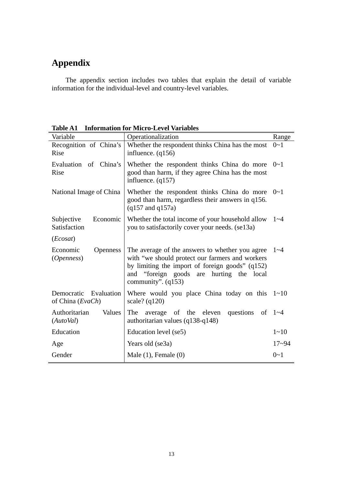### **Appendix**

The appendix section includes two tables that explain the detail of variable information for the individual-level and country-level variables.

| Variable                                  | Operationalization                                                                                                                                                                                                        | Range      |  |  |
|-------------------------------------------|---------------------------------------------------------------------------------------------------------------------------------------------------------------------------------------------------------------------------|------------|--|--|
| Recognition of China's<br>Rise            | Whether the respondent thinks China has the most<br>influence. $(q156)$                                                                                                                                                   |            |  |  |
| Evaluation of China's<br>Rise             | Whether the respondent thinks China do more<br>good than harm, if they agree China has the most<br>influence. $(q157)$                                                                                                    | $0 - 1$    |  |  |
| National Image of China                   | Whether the respondent thinks China do more $0\nu$ -1<br>good than harm, regardless their answers in q156.<br>$(q157 \text{ and } q157a)$                                                                                 |            |  |  |
| Subjective<br>Economic<br>Satisfaction    | Whether the total income of your household allow<br>you to satisfactorily cover your needs. (se13a)                                                                                                                       |            |  |  |
| (Ecosat)                                  |                                                                                                                                                                                                                           |            |  |  |
| Economic<br><b>Openness</b><br>(Openness) | The average of the answers to whether you agree<br>with "we should protect our farmers and workers<br>by limiting the import of foreign goods" (q152)<br>and "foreign goods are hurting the local<br>community". $(q153)$ |            |  |  |
| Democratic Evaluation<br>of China (EvaCh) | Where would you place China today on this $1 \sim 10$<br>scale? $(q120)$                                                                                                                                                  |            |  |  |
| Values<br>Authoritarian<br>(Autobal)      | The<br>average of the eleven questions<br>authoritarian values (q138-q148)                                                                                                                                                | of $1 - 4$ |  |  |
| Education                                 | Education level (se5)                                                                                                                                                                                                     | $1 - 10$   |  |  |
| Age                                       | Years old (se3a)                                                                                                                                                                                                          | $17 - 94$  |  |  |
| Gender                                    | Male $(1)$ , Female $(0)$                                                                                                                                                                                                 | $0 - 1$    |  |  |

**Table A1 Information for Micro-Level Variables**